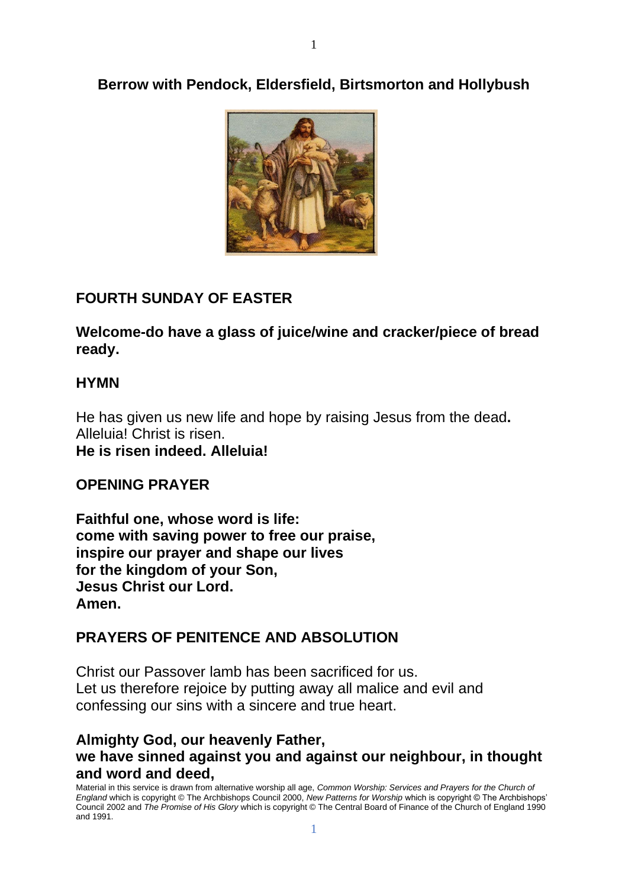

# **FOURTH SUNDAY OF EASTER**

**Welcome-do have a glass of juice/wine and cracker/piece of bread ready.**

# **HYMN**

He has given us new life and hope by raising Jesus from the dead**.** Alleluia! Christ is risen. **He is risen indeed. Alleluia!**

## **OPENING PRAYER**

**Faithful one, whose word is life: come with saving power to free our praise, inspire our prayer and shape our lives for the kingdom of your Son, Jesus Christ our Lord. Amen.**

# **PRAYERS OF PENITENCE AND ABSOLUTION**

Christ our Passover lamb has been sacrificed for us. Let us therefore rejoice by putting away all malice and evil and confessing our sins with a sincere and true heart.

## **Almighty God, our heavenly Father, we have sinned against you and against our neighbour, in thought and word and deed,**

Material in this service is drawn from alternative worship all age, *Common Worship: Services and Prayers for the Church of England* which is copyright © The Archbishops Council 2000, *New Patterns for Worship* which is copyright © The Archbishops' Council 2002 and *The Promise of His Glory* which is copyright © The Central Board of Finance of the Church of England 1990 and 1991.

1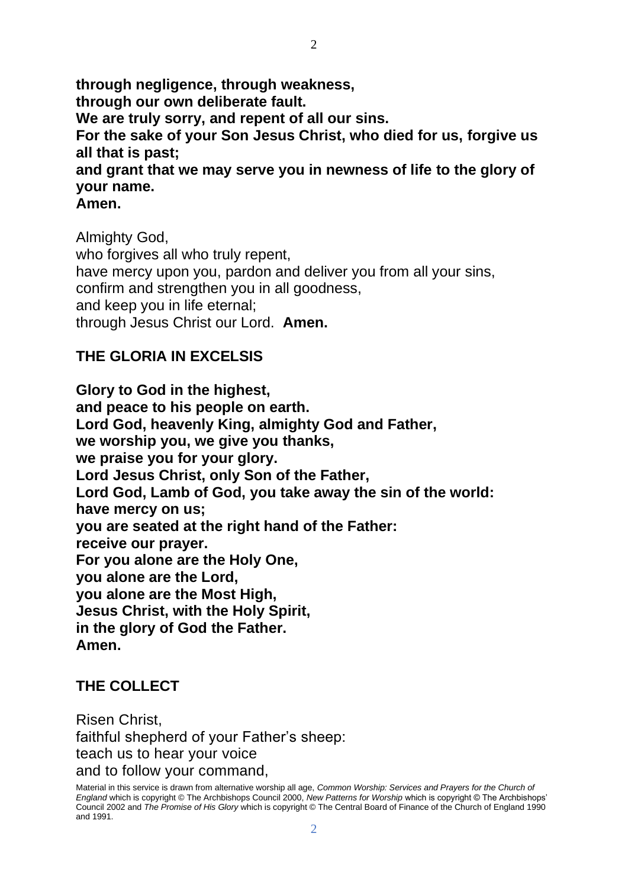**through negligence, through weakness, through our own deliberate fault. We are truly sorry, and repent of all our sins. For the sake of your Son Jesus Christ, who died for us, forgive us all that is past; and grant that we may serve you in newness of life to the glory of your name. Amen.**

Almighty God, who forgives all who truly repent. have mercy upon you, pardon and deliver you from all your sins, confirm and strengthen you in all goodness, and keep you in life eternal; through Jesus Christ our Lord. **Amen.**

#### **THE GLORIA IN EXCELSIS**

**Glory to God in the highest, and peace to his people on earth. Lord God, heavenly King, almighty God and Father, we worship you, we give you thanks, we praise you for your glory. Lord Jesus Christ, only Son of the Father, Lord God, Lamb of God, you take away the sin of the world: have mercy on us; you are seated at the right hand of the Father: receive our prayer. For you alone are the Holy One, you alone are the Lord, you alone are the Most High, Jesus Christ, with the Holy Spirit, in the glory of God the Father. Amen.**

### **THE COLLECT**

Risen Christ, faithful shepherd of your Father's sheep: teach us to hear your voice and to follow your command,

Material in this service is drawn from alternative worship all age, *Common Worship: Services and Prayers for the Church of England* which is copyright © The Archbishops Council 2000, *New Patterns for Worship* which is copyright © The Archbishops' Council 2002 and *The Promise of His Glory* which is copyright © The Central Board of Finance of the Church of England 1990 and 1991.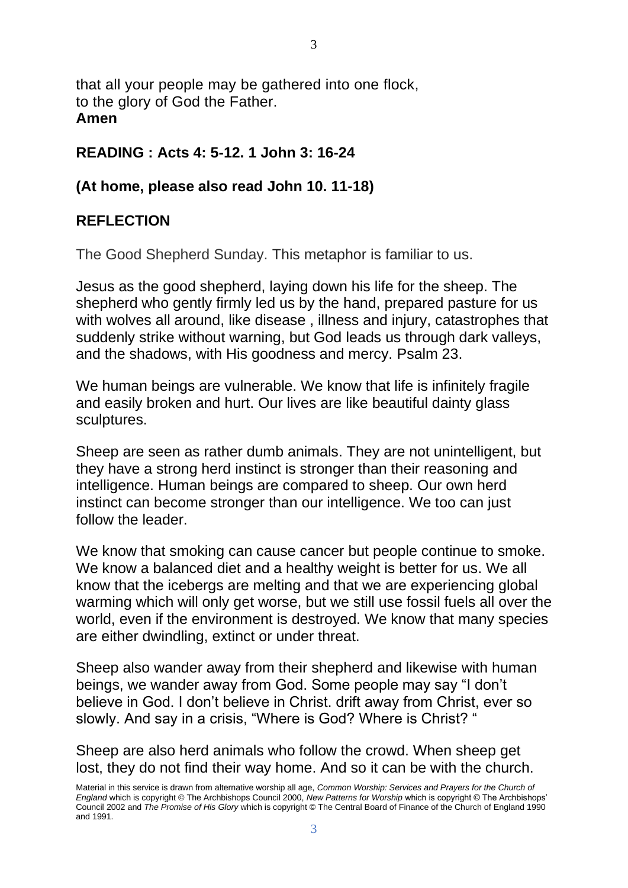that all your people may be gathered into one flock, to the glory of God the Father. **Amen**

### **READING : Acts 4: 5-12. 1 John 3: 16-24**

## **(At home, please also read John 10. 11-18)**

## **REFLECTION**

The Good Shepherd Sunday. This metaphor is familiar to us.

Jesus as the good shepherd, laying down his life for the sheep. The shepherd who gently firmly led us by the hand, prepared pasture for us with wolves all around, like disease, illness and injury, catastrophes that suddenly strike without warning, but God leads us through dark valleys, and the shadows, with His goodness and mercy. Psalm 23.

We human beings are vulnerable. We know that life is infinitely fragile and easily broken and hurt. Our lives are like beautiful dainty glass sculptures.

Sheep are seen as rather dumb animals. They are not unintelligent, but they have a strong herd instinct is stronger than their reasoning and intelligence. Human beings are compared to sheep. Our own herd instinct can become stronger than our intelligence. We too can just follow the leader.

We know that smoking can cause cancer but people continue to smoke. We know a balanced diet and a healthy weight is better for us. We all know that the icebergs are melting and that we are experiencing global warming which will only get worse, but we still use fossil fuels all over the world, even if the environment is destroyed. We know that many species are either dwindling, extinct or under threat.

Sheep also wander away from their shepherd and likewise with human beings, we wander away from God. Some people may say "I don't believe in God. I don't believe in Christ. drift away from Christ, ever so slowly. And say in a crisis, "Where is God? Where is Christ? "

Sheep are also herd animals who follow the crowd. When sheep get lost, they do not find their way home. And so it can be with the church.

Material in this service is drawn from alternative worship all age, *Common Worship: Services and Prayers for the Church of England* which is copyright © The Archbishops Council 2000, *New Patterns for Worship* which is copyright © The Archbishops' Council 2002 and *The Promise of His Glory* which is copyright © The Central Board of Finance of the Church of England 1990 and 1991.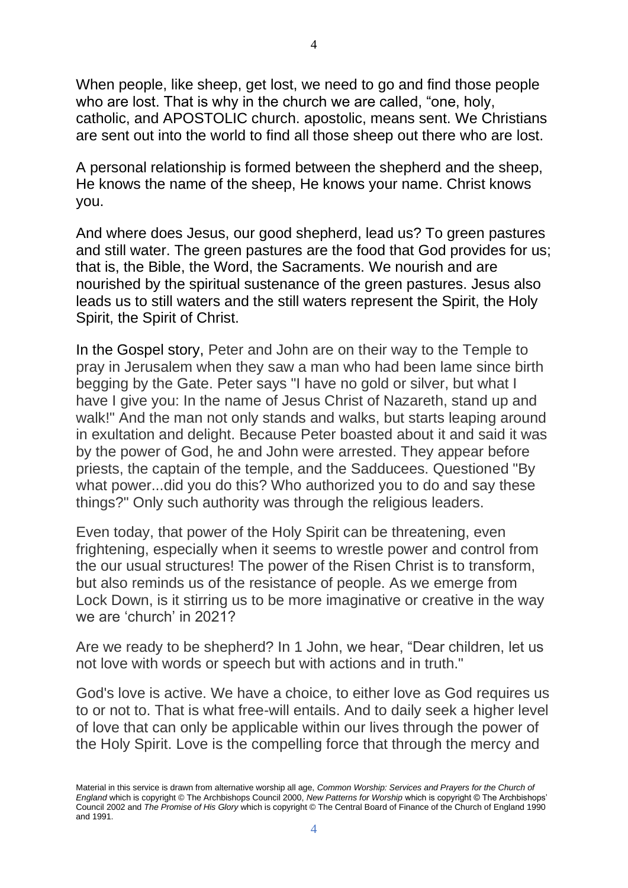When people, like sheep, get lost, we need to go and find those people who are lost. That is why in the church we are called, "one, holy, catholic, and APOSTOLIC church. apostolic, means sent. We Christians are sent out into the world to find all those sheep out there who are lost.

A personal relationship is formed between the shepherd and the sheep, He knows the name of the sheep, He knows your name. Christ knows you.

And where does Jesus, our good shepherd, lead us? To green pastures and still water. The green pastures are the food that God provides for us; that is, the Bible, the Word, the Sacraments. We nourish and are nourished by the spiritual sustenance of the green pastures. Jesus also leads us to still waters and the still waters represent the Spirit, the Holy Spirit, the Spirit of Christ.

In the Gospel story, Peter and John are on their way to the Temple to pray in Jerusalem when they saw a man who had been lame since birth begging by the Gate. Peter says "I have no gold or silver, but what I have I give you: In the name of Jesus Christ of Nazareth, stand up and walk!" And the man not only stands and walks, but starts leaping around in exultation and delight. Because Peter boasted about it and said it was by the power of God, he and John were arrested. They appear before priests, the captain of the temple, and the Sadducees. Questioned "By what power...did you do this? Who authorized you to do and say these things?" Only such authority was through the religious leaders.

Even today, that power of the Holy Spirit can be threatening, even frightening, especially when it seems to wrestle power and control from the our usual structures! The power of the Risen Christ is to transform, but also reminds us of the resistance of people. As we emerge from Lock Down, is it stirring us to be more imaginative or creative in the way we are 'church' in 2021?

Are we ready to be shepherd? In 1 John, we hear, "Dear children, let us not love with words or speech but with actions and in truth."

God's love is active. We have a choice, to either love as God requires us to or not to. That is what free-will entails. And to daily seek a higher level of love that can only be applicable within our lives through the power of the Holy Spirit. Love is the compelling force that through the mercy and

Material in this service is drawn from alternative worship all age, *Common Worship: Services and Prayers for the Church of England* which is copyright © The Archbishops Council 2000, *New Patterns for Worship* which is copyright © The Archbishops' Council 2002 and *The Promise of His Glory* which is copyright © The Central Board of Finance of the Church of England 1990 and 1991.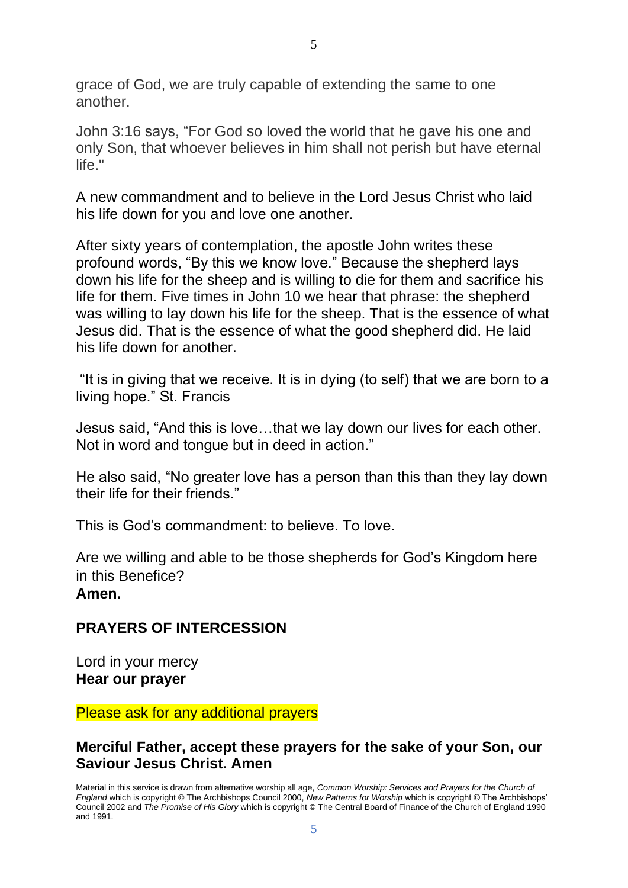grace of God, we are truly capable of extending the same to one another.

John 3:16 says, "For God so loved the world that he gave his one and only Son, that whoever believes in him shall not perish but have eternal life."

A new commandment and to believe in the Lord Jesus Christ who laid his life down for you and love one another.

After sixty years of contemplation, the apostle John writes these profound words, "By this we know love." Because the shepherd lays down his life for the sheep and is willing to die for them and sacrifice his life for them. Five times in John 10 we hear that phrase: the shepherd was willing to lay down his life for the sheep. That is the essence of what Jesus did. That is the essence of what the good shepherd did. He laid his life down for another.

"It is in giving that we receive. It is in dying (to self) that we are born to a living hope." St. Francis

Jesus said, "And this is love…that we lay down our lives for each other. Not in word and tongue but in deed in action."

He also said, "No greater love has a person than this than they lay down their life for their friends."

This is God's commandment: to believe. To love.

Are we willing and able to be those shepherds for God's Kingdom here in this Benefice?

**Amen.**

#### **PRAYERS OF INTERCESSION**

Lord in your mercy **Hear our prayer**

Please ask for any additional prayers

#### **Merciful Father, accept these prayers for the sake of your Son, our Saviour Jesus Christ. Amen**

Material in this service is drawn from alternative worship all age, *Common Worship: Services and Prayers for the Church of England* which is copyright © The Archbishops Council 2000, *New Patterns for Worship* which is copyright © The Archbishops' Council 2002 and *The Promise of His Glory* which is copyright © The Central Board of Finance of the Church of England 1990 and 1991.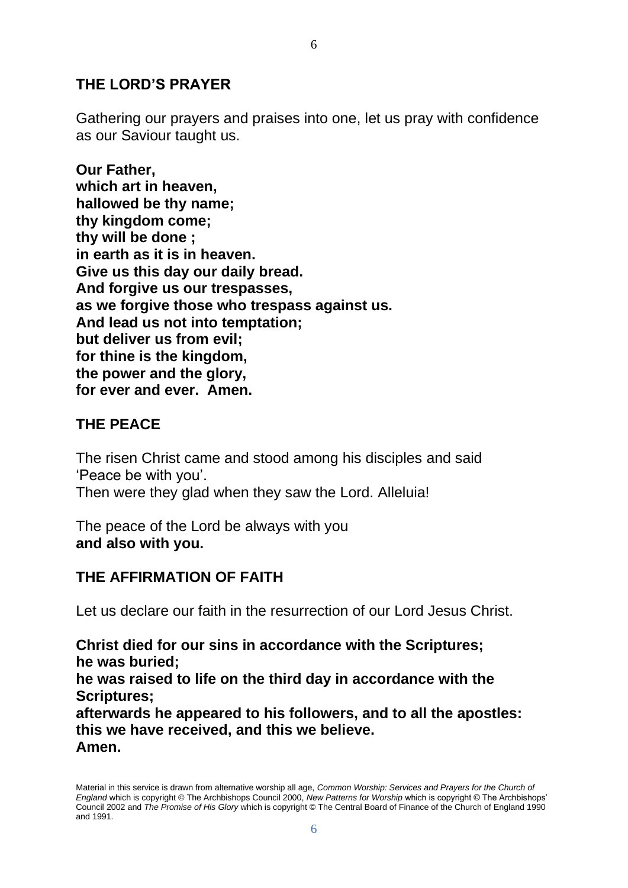## **THE LORD'S PRAYER**

Gathering our prayers and praises into one, let us pray with confidence as our Saviour taught us.

**Our Father, which art in heaven, hallowed be thy name; thy kingdom come; thy will be done ; in earth as it is in heaven. Give us this day our daily bread. And forgive us our trespasses, as we forgive those who trespass against us. And lead us not into temptation; but deliver us from evil; for thine is the kingdom, the power and the glory, for ever and ever. Amen.**

## **THE PEACE**

The risen Christ came and stood among his disciples and said 'Peace be with you'. Then were they glad when they saw the Lord. Alleluia!

The peace of the Lord be always with you **and also with you.**

### **THE AFFIRMATION OF FAITH**

Let us declare our faith in the resurrection of our Lord Jesus Christ.

**Christ died for our sins in accordance with the Scriptures; he was buried; he was raised to life on the third day in accordance with the Scriptures; afterwards he appeared to his followers, and to all the apostles: this we have received, and this we believe.**

**Amen.**

Material in this service is drawn from alternative worship all age, *Common Worship: Services and Prayers for the Church of England* which is copyright © The Archbishops Council 2000, *New Patterns for Worship* which is copyright © The Archbishops' Council 2002 and *The Promise of His Glory* which is copyright © The Central Board of Finance of the Church of England 1990 and 1991.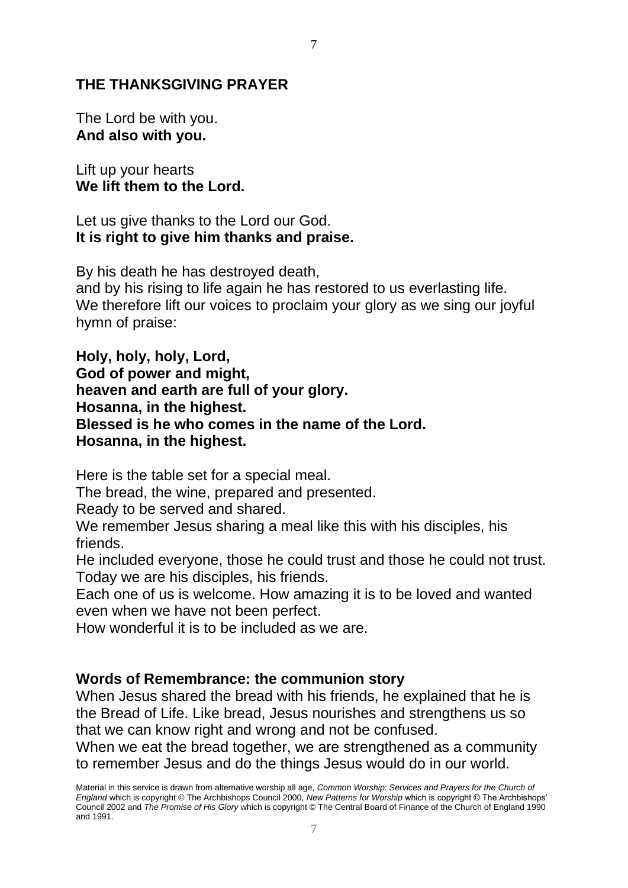#### **THE THANKSGIVING PRAYER**

The Lord be with you. **And also with you.**

Lift up your hearts **We lift them to the Lord.**

Let us give thanks to the Lord our God. **It is right to give him thanks and praise.**

By his death he has destroyed death, and by his rising to life again he has restored to us everlasting life. We therefore lift our voices to proclaim your glory as we sing our joyful hymn of praise:

**Holy, holy, holy, Lord, God of power and might, heaven and earth are full of your glory. Hosanna, in the highest. Blessed is he who comes in the name of the Lord. Hosanna, in the highest.** 

Here is the table set for a special meal.

The bread, the wine, prepared and presented.

Ready to be served and shared.

We remember Jesus sharing a meal like this with his disciples, his friends.

He included everyone, those he could trust and those he could not trust. Today we are his disciples, his friends.

Each one of us is welcome. How amazing it is to be loved and wanted even when we have not been perfect.

How wonderful it is to be included as we are.

#### **Words of Remembrance: the communion story**

When Jesus shared the bread with his friends, he explained that he is the Bread of Life. Like bread, Jesus nourishes and strengthens us so that we can know right and wrong and not be confused.

When we eat the bread together, we are strengthened as a community to remember Jesus and do the things Jesus would do in our world.

7

Material in this service is drawn from alternative worship all age, *Common Worship: Services and Prayers for the Church of England* which is copyright © The Archbishops Council 2000, *New Patterns for Worship* which is copyright © The Archbishops' Council 2002 and *The Promise of His Glory* which is copyright © The Central Board of Finance of the Church of England 1990 and 1991.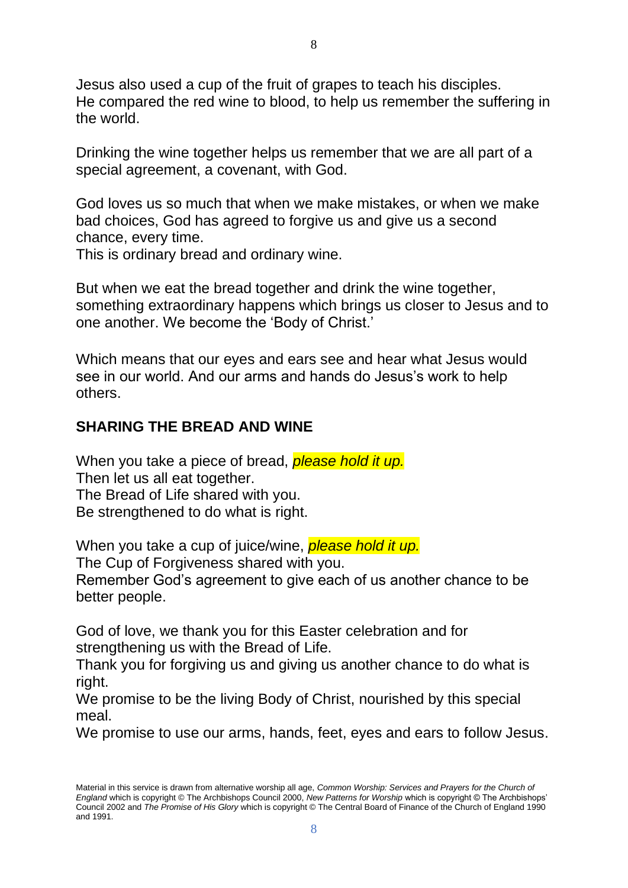Jesus also used a cup of the fruit of grapes to teach his disciples. He compared the red wine to blood, to help us remember the suffering in the world.

Drinking the wine together helps us remember that we are all part of a special agreement, a covenant, with God.

God loves us so much that when we make mistakes, or when we make bad choices, God has agreed to forgive us and give us a second chance, every time.

This is ordinary bread and ordinary wine.

But when we eat the bread together and drink the wine together, something extraordinary happens which brings us closer to Jesus and to one another. We become the 'Body of Christ.'

Which means that our eyes and ears see and hear what Jesus would see in our world. And our arms and hands do Jesus's work to help others.

### **SHARING THE BREAD AND WINE**

When you take a piece of bread, *please hold it up.* Then let us all eat together. The Bread of Life shared with you. Be strengthened to do what is right.

When you take a cup of juice/wine, *please hold it up.*

The Cup of Forgiveness shared with you.

Remember God's agreement to give each of us another chance to be better people.

God of love, we thank you for this Easter celebration and for strengthening us with the Bread of Life.

Thank you for forgiving us and giving us another chance to do what is right.

We promise to be the living Body of Christ, nourished by this special meal.

We promise to use our arms, hands, feet, eyes and ears to follow Jesus.

Material in this service is drawn from alternative worship all age, *Common Worship: Services and Prayers for the Church of England* which is copyright © The Archbishops Council 2000, *New Patterns for Worship* which is copyright © The Archbishops' Council 2002 and *The Promise of His Glory* which is copyright © The Central Board of Finance of the Church of England 1990 and 1991.